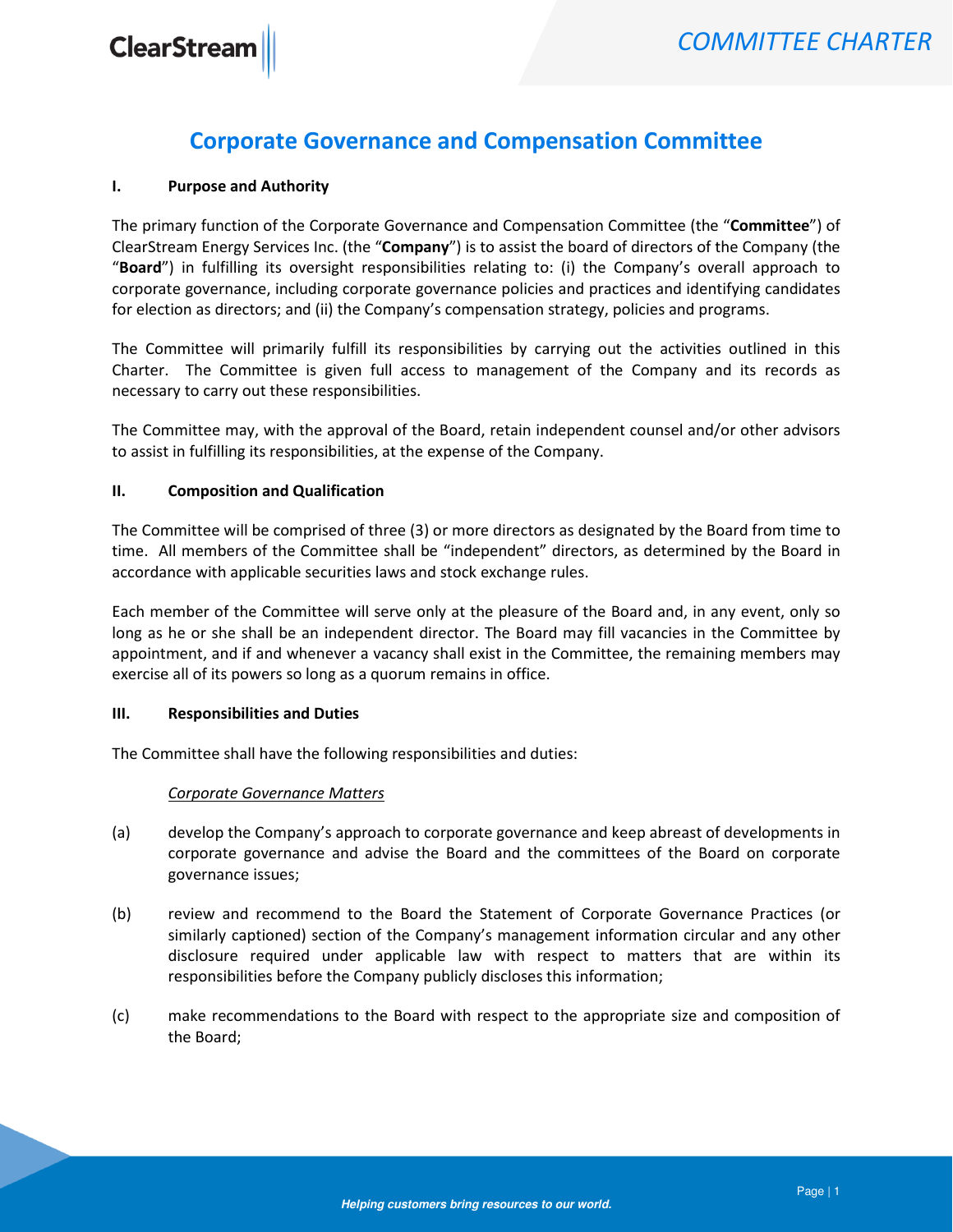# Corporate Governance and Compensation Committee

### I. Purpose and Authority

The primary function of the Corporate Governance and Compensation Committee (the "Committee") of ClearStream Energy Services Inc. (the "Company") is to assist the board of directors of the Company (the "Board") in fulfilling its oversight responsibilities relating to: (i) the Company's overall approach to corporate governance, including corporate governance policies and practices and identifying candidates for election as directors; and (ii) the Company's compensation strategy, policies and programs.

The Committee will primarily fulfill its responsibilities by carrying out the activities outlined in this Charter. The Committee is given full access to management of the Company and its records as necessary to carry out these responsibilities.

The Committee may, with the approval of the Board, retain independent counsel and/or other advisors to assist in fulfilling its responsibilities, at the expense of the Company.

### II. Composition and Qualification

The Committee will be comprised of three (3) or more directors as designated by the Board from time to time. All members of the Committee shall be "independent" directors, as determined by the Board in accordance with applicable securities laws and stock exchange rules.

Each member of the Committee will serve only at the pleasure of the Board and, in any event, only so long as he or she shall be an independent director. The Board may fill vacancies in the Committee by appointment, and if and whenever a vacancy shall exist in the Committee, the remaining members may exercise all of its powers so long as a quorum remains in office.

# III. Responsibilities and Duties

The Committee shall have the following responsibilities and duties:

# Corporate Governance Matters

- (a) develop the Company's approach to corporate governance and keep abreast of developments in corporate governance and advise the Board and the committees of the Board on corporate governance issues;
- (b) review and recommend to the Board the Statement of Corporate Governance Practices (or similarly captioned) section of the Company's management information circular and any other disclosure required under applicable law with respect to matters that are within its responsibilities before the Company publicly discloses this information;
- (c) make recommendations to the Board with respect to the appropriate size and composition of the Board;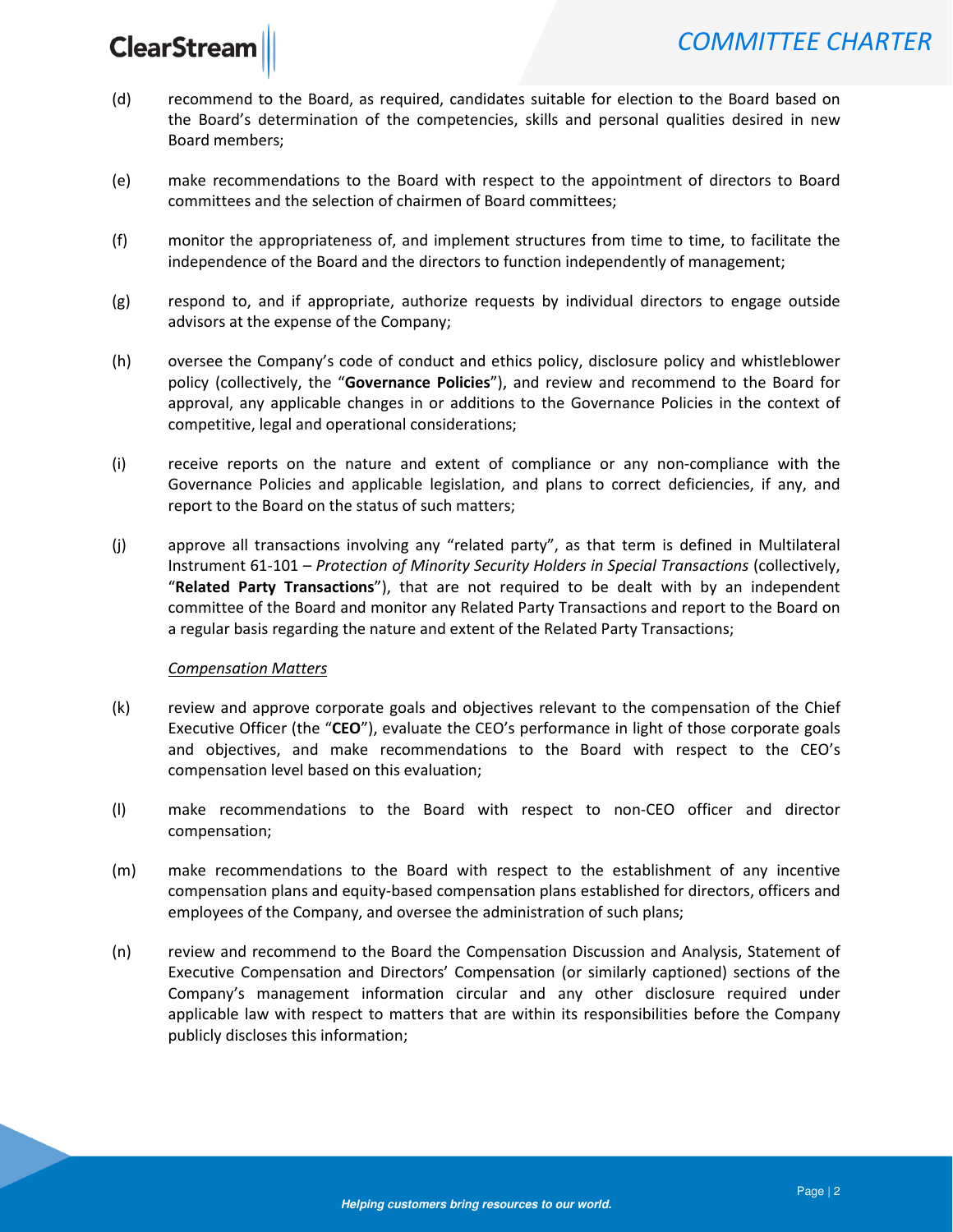# **ClearStreat**

- (d) recommend to the Board, as required, candidates suitable for election to the Board based on the Board's determination of the competencies, skills and personal qualities desired in new Board members;
- (e) make recommendations to the Board with respect to the appointment of directors to Board committees and the selection of chairmen of Board committees;
- (f) monitor the appropriateness of, and implement structures from time to time, to facilitate the independence of the Board and the directors to function independently of management;
- (g) respond to, and if appropriate, authorize requests by individual directors to engage outside advisors at the expense of the Company;
- (h) oversee the Company's code of conduct and ethics policy, disclosure policy and whistleblower policy (collectively, the "Governance Policies"), and review and recommend to the Board for approval, any applicable changes in or additions to the Governance Policies in the context of competitive, legal and operational considerations;
- (i) receive reports on the nature and extent of compliance or any non-compliance with the Governance Policies and applicable legislation, and plans to correct deficiencies, if any, and report to the Board on the status of such matters;
- (j) approve all transactions involving any "related party", as that term is defined in Multilateral Instrument 61-101 – Protection of Minority Security Holders in Special Transactions (collectively, "Related Party Transactions"), that are not required to be dealt with by an independent committee of the Board and monitor any Related Party Transactions and report to the Board on a regular basis regarding the nature and extent of the Related Party Transactions;

#### Compensation Matters

- (k) review and approve corporate goals and objectives relevant to the compensation of the Chief Executive Officer (the "CEO"), evaluate the CEO's performance in light of those corporate goals and objectives, and make recommendations to the Board with respect to the CEO's compensation level based on this evaluation;
- (l) make recommendations to the Board with respect to non-CEO officer and director compensation;
- (m) make recommendations to the Board with respect to the establishment of any incentive compensation plans and equity-based compensation plans established for directors, officers and employees of the Company, and oversee the administration of such plans;
- (n) review and recommend to the Board the Compensation Discussion and Analysis, Statement of Executive Compensation and Directors' Compensation (or similarly captioned) sections of the Company's management information circular and any other disclosure required under applicable law with respect to matters that are within its responsibilities before the Company publicly discloses this information;